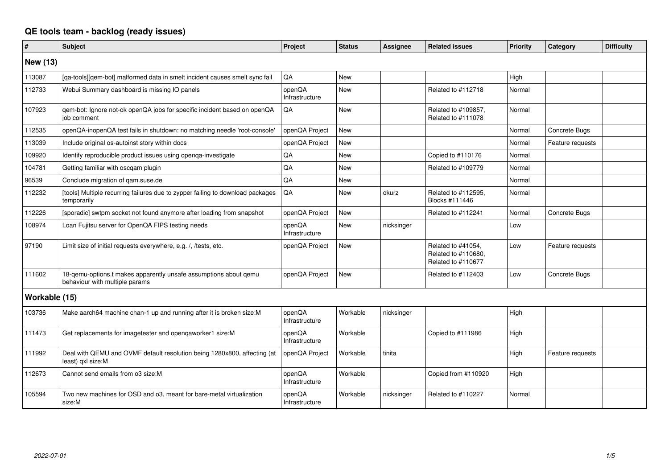## **QE tools team - backlog (ready issues)**

| $\pmb{\#}$      | <b>Subject</b>                                                                                     | Project                  | <b>Status</b> | <b>Assignee</b> | <b>Related issues</b>                                           | <b>Priority</b> | Category         | <b>Difficulty</b> |
|-----------------|----------------------------------------------------------------------------------------------------|--------------------------|---------------|-----------------|-----------------------------------------------------------------|-----------------|------------------|-------------------|
| <b>New (13)</b> |                                                                                                    |                          |               |                 |                                                                 |                 |                  |                   |
| 113087          | [qa-tools][qem-bot] malformed data in smelt incident causes smelt sync fail                        | QA                       | New           |                 |                                                                 | High            |                  |                   |
| 112733          | Webui Summary dashboard is missing IO panels                                                       | openQA<br>Infrastructure | <b>New</b>    |                 | Related to #112718                                              | Normal          |                  |                   |
| 107923          | qem-bot: Ignore not-ok openQA jobs for specific incident based on openQA<br>iob comment            | QA                       | <b>New</b>    |                 | Related to #109857,<br>Related to #111078                       | Normal          |                  |                   |
| 112535          | openQA-inopenQA test fails in shutdown: no matching needle 'root-console'                          | openQA Project           | <b>New</b>    |                 |                                                                 | Normal          | Concrete Bugs    |                   |
| 113039          | Include original os-autoinst story within docs                                                     | openQA Project           | <b>New</b>    |                 |                                                                 | Normal          | Feature requests |                   |
| 109920          | Identify reproducible product issues using openqa-investigate                                      | QA                       | <b>New</b>    |                 | Copied to #110176                                               | Normal          |                  |                   |
| 104781          | Getting familiar with oscgam plugin                                                                | QA                       | New           |                 | Related to #109779                                              | Normal          |                  |                   |
| 96539           | Conclude migration of gam.suse.de                                                                  | QA                       | <b>New</b>    |                 |                                                                 | Normal          |                  |                   |
| 112232          | [tools] Multiple recurring failures due to zypper failing to download packages<br>temporarily      | QA                       | New           | okurz           | Related to #112595,<br>Blocks #111446                           | Normal          |                  |                   |
| 112226          | [sporadic] swtpm socket not found anymore after loading from snapshot                              | openQA Project           | New           |                 | Related to #112241                                              | Normal          | Concrete Bugs    |                   |
| 108974          | Loan Fujitsu server for OpenQA FIPS testing needs                                                  | openQA<br>Infrastructure | New           | nicksinger      |                                                                 | Low             |                  |                   |
| 97190           | Limit size of initial requests everywhere, e.g. /, /tests, etc.                                    | openQA Project           | <b>New</b>    |                 | Related to #41054,<br>Related to #110680,<br>Related to #110677 | Low             | Feature requests |                   |
| 111602          | 18-qemu-options.t makes apparently unsafe assumptions about qemu<br>behaviour with multiple params | openQA Project           | New           |                 | Related to #112403                                              | Low             | Concrete Bugs    |                   |
| Workable (15)   |                                                                                                    |                          |               |                 |                                                                 |                 |                  |                   |
| 103736          | Make aarch64 machine chan-1 up and running after it is broken size:M                               | openQA<br>Infrastructure | Workable      | nicksinger      |                                                                 | High            |                  |                   |
| 111473          | Get replacements for imagetester and opengaworker1 size:M                                          | openQA<br>Infrastructure | Workable      |                 | Copied to #111986                                               | High            |                  |                   |
| 111992          | Deal with QEMU and OVMF default resolution being 1280x800, affecting (at<br>least) qxl size:M      | openQA Project           | Workable      | tinita          |                                                                 | High            | Feature requests |                   |
| 112673          | Cannot send emails from o3 size:M                                                                  | openQA<br>Infrastructure | Workable      |                 | Copied from #110920                                             | High            |                  |                   |
| 105594          | Two new machines for OSD and o3, meant for bare-metal virtualization<br>size:M                     | openQA<br>Infrastructure | Workable      | nicksinger      | Related to #110227                                              | Normal          |                  |                   |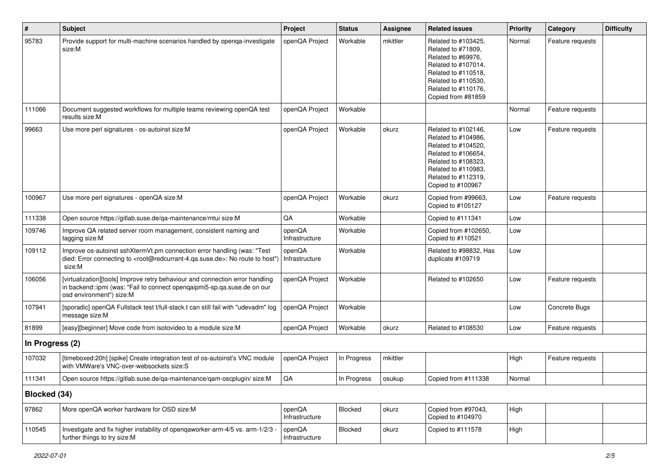| $\vert$ #       | <b>Subject</b>                                                                                                                                                                                    | Project                  | <b>Status</b> | <b>Assignee</b> | <b>Related issues</b>                                                                                                                                                              | <b>Priority</b> | Category         | <b>Difficulty</b> |
|-----------------|---------------------------------------------------------------------------------------------------------------------------------------------------------------------------------------------------|--------------------------|---------------|-----------------|------------------------------------------------------------------------------------------------------------------------------------------------------------------------------------|-----------------|------------------|-------------------|
| 95783           | Provide support for multi-machine scenarios handled by openqa-investigate<br>size:M                                                                                                               | openQA Project           | Workable      | mkittler        | Related to #103425,<br>Related to #71809,<br>Related to #69976,<br>Related to #107014,<br>Related to #110518,<br>Related to #110530,<br>Related to #110176,<br>Copied from #81859  | Normal          | Feature requests |                   |
| 111066          | Document suggested workflows for multiple teams reviewing openQA test<br>results size:M                                                                                                           | openQA Project           | Workable      |                 |                                                                                                                                                                                    | Normal          | Feature requests |                   |
| 99663           | Use more perl signatures - os-autoinst size:M                                                                                                                                                     | openQA Project           | Workable      | okurz           | Related to #102146.<br>Related to #104986,<br>Related to #104520,<br>Related to #106654,<br>Related to #108323,<br>Related to #110983,<br>Related to #112319,<br>Copied to #100967 | Low             | Feature requests |                   |
| 100967          | Use more perl signatures - openQA size:M                                                                                                                                                          | openQA Project           | Workable      | okurz           | Copied from #99663,<br>Copied to #105127                                                                                                                                           | Low             | Feature requests |                   |
| 111338          | Open source https://gitlab.suse.de/qa-maintenance/mtui size:M                                                                                                                                     | QA                       | Workable      |                 | Copied to #111341                                                                                                                                                                  | Low             |                  |                   |
| 109746          | Improve QA related server room management, consistent naming and<br>tagging size:M                                                                                                                | openQA<br>Infrastructure | Workable      |                 | Copied from #102650,<br>Copied to #110521                                                                                                                                          | Low             |                  |                   |
| 109112          | Improve os-autoinst sshXtermVt.pm connection error handling (was: "Test<br>died: Error connecting to <root@redcurrant-4.qa.suse.de>: No route to host")<br/>size:M</root@redcurrant-4.qa.suse.de> | openQA<br>Infrastructure | Workable      |                 | Related to #98832, Has<br>duplicate #109719                                                                                                                                        | Low             |                  |                   |
| 106056          | [virtualization][tools] Improve retry behaviour and connection error handling<br>in backend::ipmi (was: "Fail to connect openqaipmi5-sp.qa.suse.de on our<br>osd environment") size:M             | openQA Project           | Workable      |                 | Related to #102650                                                                                                                                                                 | Low             | Feature requests |                   |
| 107941          | [sporadic] openQA Fullstack test t/full-stack.t can still fail with "udevadm" log<br>message size:M                                                                                               | openQA Project           | Workable      |                 |                                                                                                                                                                                    | Low             | Concrete Bugs    |                   |
| 81899           | [easy][beginner] Move code from isotovideo to a module size:M                                                                                                                                     | openQA Project           | Workable      | okurz           | Related to #108530                                                                                                                                                                 | Low             | Feature requests |                   |
| In Progress (2) |                                                                                                                                                                                                   |                          |               |                 |                                                                                                                                                                                    |                 |                  |                   |
| 107032          | [timeboxed:20h] [spike] Create integration test of os-autoinst's VNC module<br>with VMWare's VNC-over-websockets size:S                                                                           | openQA Project           | In Progress   | mkittler        |                                                                                                                                                                                    | High            | Feature requests |                   |
| 111341          | Open source https://gitlab.suse.de/qa-maintenance/qam-oscplugin/ size:M                                                                                                                           | $\mathsf{QA}$            | In Progress   | osukup          | Copied from #111338                                                                                                                                                                | Normal          |                  |                   |
| Blocked (34)    |                                                                                                                                                                                                   |                          |               |                 |                                                                                                                                                                                    |                 |                  |                   |
| 97862           | More openQA worker hardware for OSD size:M                                                                                                                                                        | openQA<br>Infrastructure | Blocked       | okurz           | Copied from #97043,<br>Copied to #104970                                                                                                                                           | High            |                  |                   |
| 110545          | Investigate and fix higher instability of openqaworker-arm-4/5 vs. arm-1/2/3<br>further things to try size:M                                                                                      | openQA<br>Infrastructure | Blocked       | okurz           | Copied to #111578                                                                                                                                                                  | High            |                  |                   |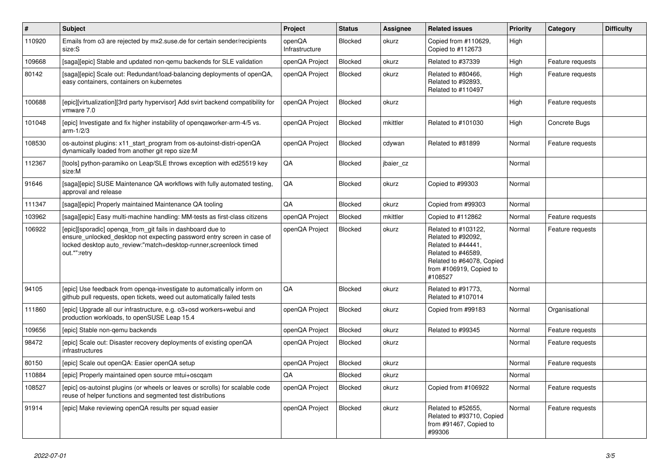| $\vert$ # | <b>Subject</b>                                                                                                                                                                                                             | Project                  | <b>Status</b> | <b>Assignee</b> | <b>Related issues</b>                                                                                                                                    | <b>Priority</b> | Category         | <b>Difficulty</b> |
|-----------|----------------------------------------------------------------------------------------------------------------------------------------------------------------------------------------------------------------------------|--------------------------|---------------|-----------------|----------------------------------------------------------------------------------------------------------------------------------------------------------|-----------------|------------------|-------------------|
| 110920    | Emails from 03 are rejected by mx2.suse.de for certain sender/recipients<br>size:S                                                                                                                                         | openQA<br>Infrastructure | Blocked       | okurz           | Copied from #110629,<br>Copied to #112673                                                                                                                | High            |                  |                   |
| 109668    | [saga][epic] Stable and updated non-gemu backends for SLE validation                                                                                                                                                       | openQA Project           | Blocked       | okurz           | Related to #37339                                                                                                                                        | High            | Feature requests |                   |
| 80142     | [saga][epic] Scale out: Redundant/load-balancing deployments of openQA,<br>easy containers, containers on kubernetes                                                                                                       | openQA Project           | Blocked       | okurz           | Related to #80466,<br>Related to #92893,<br>Related to #110497                                                                                           | High            | Feature requests |                   |
| 100688    | [epic][virtualization][3rd party hypervisor] Add svirt backend compatibility for<br>vmware 7.0                                                                                                                             | openQA Project           | Blocked       | okurz           |                                                                                                                                                          | High            | Feature requests |                   |
| 101048    | [epic] Investigate and fix higher instability of openqaworker-arm-4/5 vs.<br>arm-1/2/3                                                                                                                                     | openQA Project           | Blocked       | mkittler        | Related to #101030                                                                                                                                       | High            | Concrete Bugs    |                   |
| 108530    | os-autoinst plugins: x11_start_program from os-autoinst-distri-openQA<br>dynamically loaded from another git repo size:M                                                                                                   | openQA Project           | Blocked       | cdywan          | Related to #81899                                                                                                                                        | Normal          | Feature requests |                   |
| 112367    | [tools] python-paramiko on Leap/SLE throws exception with ed25519 key<br>size:M                                                                                                                                            | QA                       | Blocked       | jbaier_cz       |                                                                                                                                                          | Normal          |                  |                   |
| 91646     | [saga][epic] SUSE Maintenance QA workflows with fully automated testing,<br>approval and release                                                                                                                           | QA                       | Blocked       | okurz           | Copied to #99303                                                                                                                                         | Normal          |                  |                   |
| 111347    | [saga][epic] Properly maintained Maintenance QA tooling                                                                                                                                                                    | QA                       | Blocked       | okurz           | Copied from #99303                                                                                                                                       | Normal          |                  |                   |
| 103962    | [saga][epic] Easy multi-machine handling: MM-tests as first-class citizens                                                                                                                                                 | openQA Project           | Blocked       | mkittler        | Copied to #112862                                                                                                                                        | Normal          | Feature requests |                   |
| 106922    | [epic][sporadic] openqa_from_git fails in dashboard due to<br>ensure_unlocked_desktop not expecting password entry screen in case of<br>locked desktop auto review:"match=desktop-runner, screenlock timed<br>out.*":retry | openQA Project           | Blocked       | okurz           | Related to #103122,<br>Related to #92092,<br>Related to #44441,<br>Related to #46589,<br>Related to #64078, Copied<br>from #106919, Copied to<br>#108527 | Normal          | Feature requests |                   |
| 94105     | [epic] Use feedback from openga-investigate to automatically inform on<br>github pull requests, open tickets, weed out automatically failed tests                                                                          | QA                       | Blocked       | okurz           | Related to #91773,<br>Related to #107014                                                                                                                 | Normal          |                  |                   |
| 111860    | [epic] Upgrade all our infrastructure, e.g. o3+osd workers+webui and<br>production workloads, to openSUSE Leap 15.4                                                                                                        | openQA Project           | Blocked       | okurz           | Copied from #99183                                                                                                                                       | Normal          | Organisational   |                   |
| 109656    | [epic] Stable non-gemu backends                                                                                                                                                                                            | openQA Project           | Blocked       | okurz           | Related to #99345                                                                                                                                        | Normal          | Feature requests |                   |
| 98472     | [epic] Scale out: Disaster recovery deployments of existing openQA<br>infrastructures                                                                                                                                      | openQA Project           | Blocked       | okurz           |                                                                                                                                                          | Normal          | Feature requests |                   |
| 80150     | [epic] Scale out openQA: Easier openQA setup                                                                                                                                                                               | openQA Project           | Blocked       | okurz           |                                                                                                                                                          | Normal          | Feature requests |                   |
| 110884    | [epic] Properly maintained open source mtui+oscqam                                                                                                                                                                         | QA                       | Blocked       | okurz           |                                                                                                                                                          | Normal          |                  |                   |
| 108527    | [epic] os-autoinst plugins (or wheels or leaves or scrolls) for scalable code<br>reuse of helper functions and segmented test distributions                                                                                | openQA Project           | Blocked       | okurz           | Copied from #106922                                                                                                                                      | Normal          | Feature requests |                   |
| 91914     | [epic] Make reviewing openQA results per squad easier                                                                                                                                                                      | openQA Project           | Blocked       | okurz           | Related to #52655,<br>Related to #93710, Copied<br>from #91467, Copied to<br>#99306                                                                      | Normal          | Feature requests |                   |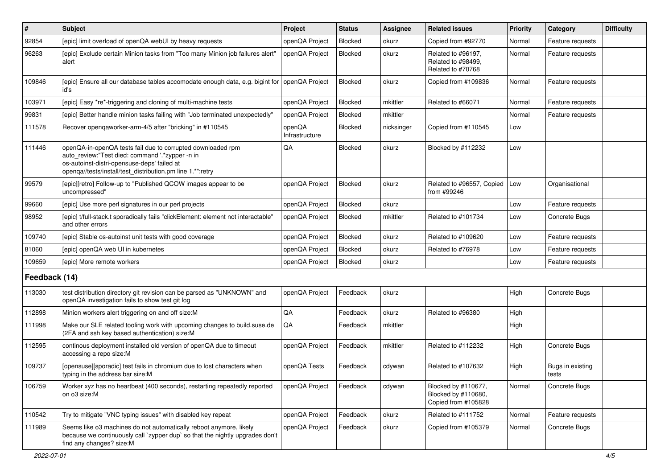| $\vert$ #     | <b>Subject</b>                                                                                                                                                                                                              | Project                  | <b>Status</b> | <b>Assignee</b> | <b>Related issues</b>                                             | Priority | Category                  | <b>Difficulty</b> |
|---------------|-----------------------------------------------------------------------------------------------------------------------------------------------------------------------------------------------------------------------------|--------------------------|---------------|-----------------|-------------------------------------------------------------------|----------|---------------------------|-------------------|
| 92854         | [epic] limit overload of openQA webUI by heavy requests                                                                                                                                                                     | openQA Project           | Blocked       | okurz           | Copied from #92770                                                | Normal   | Feature requests          |                   |
| 96263         | [epic] Exclude certain Minion tasks from "Too many Minion job failures alert"<br>alert                                                                                                                                      | openQA Project           | Blocked       | okurz           | Related to #96197,<br>Related to #98499.<br>Related to #70768     | Normal   | Feature requests          |                   |
| 109846        | [epic] Ensure all our database tables accomodate enough data, e.g. bigint for<br>id's                                                                                                                                       | openQA Project           | Blocked       | okurz           | Copied from #109836                                               | Normal   | Feature requests          |                   |
| 103971        | [epic] Easy *re*-triggering and cloning of multi-machine tests                                                                                                                                                              | openQA Project           | Blocked       | mkittler        | Related to #66071                                                 | Normal   | Feature requests          |                   |
| 99831         | [epic] Better handle minion tasks failing with "Job terminated unexpectedly'                                                                                                                                                | openQA Project           | Blocked       | mkittler        |                                                                   | Normal   | Feature requests          |                   |
| 111578        | Recover opengaworker-arm-4/5 after "bricking" in #110545                                                                                                                                                                    | openQA<br>Infrastructure | Blocked       | nicksinger      | Copied from #110545                                               | Low      |                           |                   |
| 111446        | openQA-in-openQA tests fail due to corrupted downloaded rpm<br>auto_review:"Test died: command '.*zypper -n in<br>os-autoinst-distri-opensuse-deps' failed at<br>openqa//tests/install/test_distribution.pm line 1.*":retry | QA                       | Blocked       | okurz           | Blocked by #112232                                                | Low      |                           |                   |
| 99579         | [epic][retro] Follow-up to "Published QCOW images appear to be<br>uncompressed"                                                                                                                                             | openQA Project           | Blocked       | okurz           | Related to #96557, Copied<br>from #99246                          | Low      | Organisational            |                   |
| 99660         | [epic] Use more perl signatures in our perl projects                                                                                                                                                                        | openQA Project           | Blocked       | okurz           |                                                                   | Low      | Feature requests          |                   |
| 98952         | [epic] t/full-stack.t sporadically fails "clickElement: element not interactable"<br>and other errors                                                                                                                       | openQA Project           | Blocked       | mkittler        | Related to #101734                                                | Low      | Concrete Bugs             |                   |
| 109740        | [epic] Stable os-autoinst unit tests with good coverage                                                                                                                                                                     | openQA Project           | Blocked       | okurz           | Related to #109620                                                | Low      | Feature requests          |                   |
| 81060         | [epic] openQA web UI in kubernetes                                                                                                                                                                                          | openQA Project           | Blocked       | okurz           | Related to #76978                                                 | Low      | Feature requests          |                   |
| 109659        | [epic] More remote workers                                                                                                                                                                                                  | openQA Project           | Blocked       | okurz           |                                                                   | Low      | Feature requests          |                   |
| Feedback (14) |                                                                                                                                                                                                                             |                          |               |                 |                                                                   |          |                           |                   |
| 113030        | test distribution directory git revision can be parsed as "UNKNOWN" and<br>openQA investigation fails to show test git log                                                                                                  | openQA Project           | Feedback      | okurz           |                                                                   | High     | Concrete Bugs             |                   |
| 112898        | Minion workers alert triggering on and off size:M                                                                                                                                                                           | QA                       | Feedback      | okurz           | Related to #96380                                                 | High     |                           |                   |
| 111998        | Make our SLE related tooling work with upcoming changes to build.suse.de<br>(2FA and ssh key based authentication) size:M                                                                                                   | QA                       | Feedback      | mkittler        |                                                                   | High     |                           |                   |
| 112595        | continous deployment installed old version of openQA due to timeout<br>accessing a repo size:M                                                                                                                              | openQA Project           | Feedback      | mkittler        | Related to #112232                                                | High     | Concrete Bugs             |                   |
| 109737        | [opensuse][sporadic] test fails in chromium due to lost characters when<br>typing in the address bar size:M                                                                                                                 | openQA Tests             | Feedback      | cdywan          | Related to #107632                                                | High     | Bugs in existing<br>tests |                   |
| 106759        | Worker xyz has no heartbeat (400 seconds), restarting repeatedly reported<br>on o3 size:M                                                                                                                                   | openQA Project           | Feedback      | cdywan          | Blocked by #110677,<br>Blocked by #110680,<br>Copied from #105828 | Normal   | Concrete Bugs             |                   |
| 110542        | Try to mitigate "VNC typing issues" with disabled key repeat                                                                                                                                                                | openQA Project           | Feedback      | okurz           | Related to #111752                                                | Normal   | Feature requests          |                   |
| 111989        | Seems like o3 machines do not automatically reboot anymore, likely<br>because we continuously call `zypper dup` so that the nightly upgrades don't<br>find any changes? size:M                                              | openQA Project           | Feedback      | okurz           | Copied from #105379                                               | Normal   | Concrete Bugs             |                   |